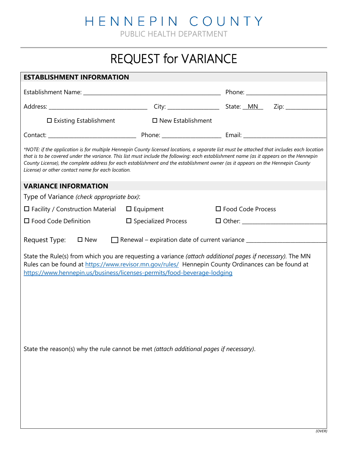HENNEPIN COUNTY

PUBLIC HEALTH DEPARTMENT

## REQUEST for VARIANCE

| <b>ESTABLISHMENT INFORMATION</b>                                                                                                                                                                                                                                                                                                                                                                                                                                            |                               |                     |  |  |  |
|-----------------------------------------------------------------------------------------------------------------------------------------------------------------------------------------------------------------------------------------------------------------------------------------------------------------------------------------------------------------------------------------------------------------------------------------------------------------------------|-------------------------------|---------------------|--|--|--|
|                                                                                                                                                                                                                                                                                                                                                                                                                                                                             |                               |                     |  |  |  |
|                                                                                                                                                                                                                                                                                                                                                                                                                                                                             |                               |                     |  |  |  |
| $\square$ Existing Establishment                                                                                                                                                                                                                                                                                                                                                                                                                                            | $\square$ New Establishment   |                     |  |  |  |
|                                                                                                                                                                                                                                                                                                                                                                                                                                                                             |                               |                     |  |  |  |
| *NOTE: if the application is for multiple Hennepin County licensed locations, a separate list must be attached that includes each location<br>that is to be covered under the variance. This list must include the following: each establishment name (as it appears on the Hennepin<br>County License), the complete address for each establishment and the establishment owner (as it appears on the Hennepin County<br>License) or other contact name for each location. |                               |                     |  |  |  |
| <b>VARIANCE INFORMATION</b>                                                                                                                                                                                                                                                                                                                                                                                                                                                 |                               |                     |  |  |  |
| Type of Variance (check appropriate box):                                                                                                                                                                                                                                                                                                                                                                                                                                   |                               |                     |  |  |  |
| $\Box$ Facility / Construction Material $\Box$ Equipment                                                                                                                                                                                                                                                                                                                                                                                                                    |                               | □ Food Code Process |  |  |  |
| $\square$ Food Code Definition                                                                                                                                                                                                                                                                                                                                                                                                                                              | $\square$ Specialized Process |                     |  |  |  |
| Renewal – expiration date of current variance __________________________________<br>Request Type:<br>$\square$ New                                                                                                                                                                                                                                                                                                                                                          |                               |                     |  |  |  |
| State the Rule(s) from which you are requesting a variance (attach additional pages if necessary). The MN<br>Rules can be found at https://www.revisor.mn.gov/rules/ Hennepin County Ordinances can be found at<br>https://www.hennepin.us/business/licenses-permits/food-beverage-lodging                                                                                                                                                                                  |                               |                     |  |  |  |
| State the reason(s) why the rule cannot be met (attach additional pages if necessary).                                                                                                                                                                                                                                                                                                                                                                                      |                               |                     |  |  |  |
|                                                                                                                                                                                                                                                                                                                                                                                                                                                                             |                               |                     |  |  |  |